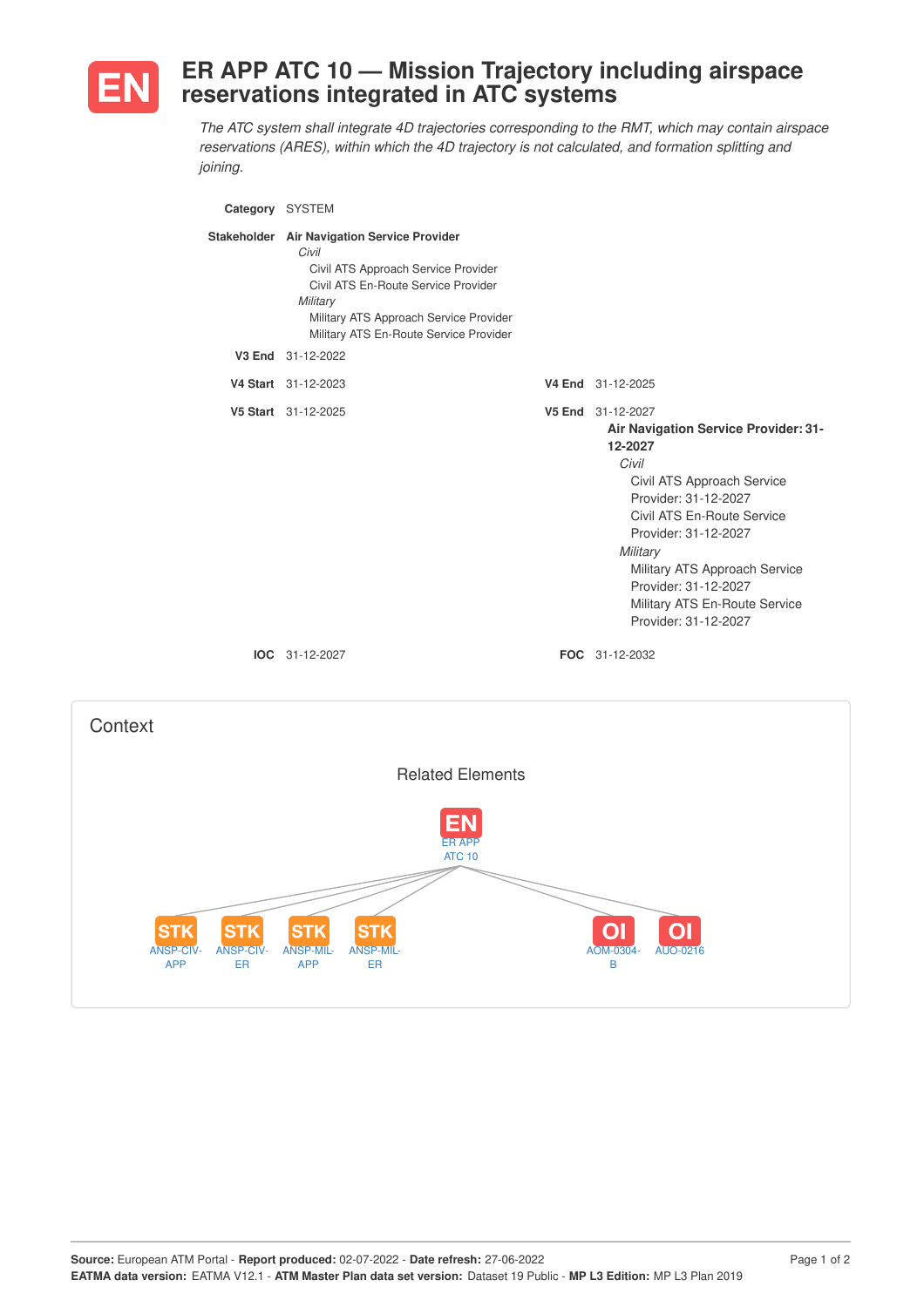

## **ER APP ATC 10 — Mission Trajectory including airspace reservations integrated in ATC systems**

*The ATC system shall integrate 4D trajectories corresponding to the RMT, which may contain airspace reservations (ARES), within which the 4D trajectory is not calculated, and formation splitting and joining.*

| Category SYSTEM |                                                                                                                                                                                                                                    |                                                                                                                                                                                                                                                                                                                                |
|-----------------|------------------------------------------------------------------------------------------------------------------------------------------------------------------------------------------------------------------------------------|--------------------------------------------------------------------------------------------------------------------------------------------------------------------------------------------------------------------------------------------------------------------------------------------------------------------------------|
|                 | Stakeholder Air Navigation Service Provider<br>Civil<br>Civil ATS Approach Service Provider<br>Civil ATS En-Route Service Provider<br>Military<br>Military ATS Approach Service Provider<br>Military ATS En-Route Service Provider |                                                                                                                                                                                                                                                                                                                                |
|                 | V3 End 31-12-2022                                                                                                                                                                                                                  |                                                                                                                                                                                                                                                                                                                                |
|                 | V4 Start 31-12-2023                                                                                                                                                                                                                | V4 End 31-12-2025                                                                                                                                                                                                                                                                                                              |
|                 | V5 Start 31-12-2025                                                                                                                                                                                                                | V5 End 31-12-2027<br><b>Air Navigation Service Provider: 31-</b><br>12-2027<br>Civil<br>Civil ATS Approach Service<br>Provider: 31-12-2027<br>Civil ATS En-Route Service<br>Provider: 31-12-2027<br>Military<br>Military ATS Approach Service<br>Provider: 31-12-2027<br>Military ATS En-Route Service<br>Provider: 31-12-2027 |
|                 | IOC 31-12-2027                                                                                                                                                                                                                     | FOC 31-12-2032                                                                                                                                                                                                                                                                                                                 |